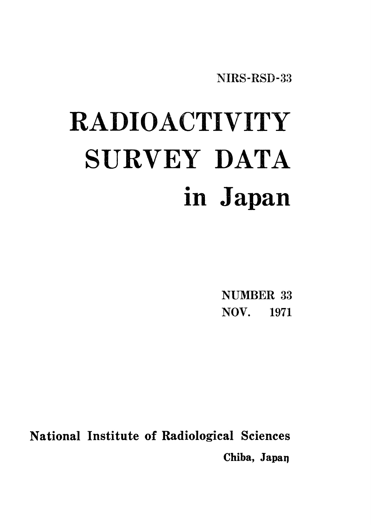NIRS-RSD-33

# RADIOACTIVITY SURVEY DATA in Japan

**NUMBER 33** NOV. 1971

National Institute of Radiological Sciences Chiba, Japan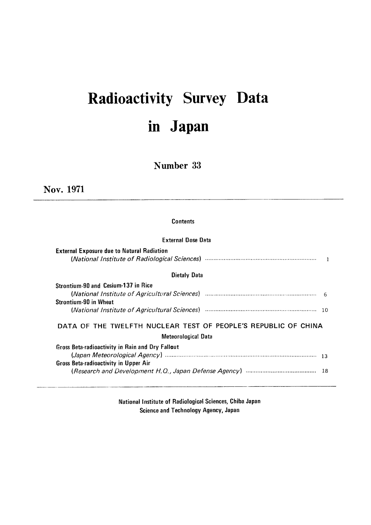## Radioactivity Survey Data in Japan

Number 33

Nov. 1971

#### Contents

#### **External Dose Data**

| <b>External Exposure due to Natural Radiation</b>                                                                                                                                                                              |                 |
|--------------------------------------------------------------------------------------------------------------------------------------------------------------------------------------------------------------------------------|-----------------|
| <b>Dietaly Data</b>                                                                                                                                                                                                            |                 |
| Strontium-90 and Cesium-137 in Rice                                                                                                                                                                                            |                 |
| (National Institute of Agricultural Sciences) manufactured and the contract of the Catalonian Control of Agricultural Sciences) manufactured and the Catalonian Control of Agriculture of Agriculture of Agriculture of Agricu |                 |
| <b>Strontium-90 in Wheat</b>                                                                                                                                                                                                   |                 |
|                                                                                                                                                                                                                                |                 |
| DATA OF THE TWELFTH NUCLEAR TEST OF PEOPLE'S REPUBLIC OF CHINA                                                                                                                                                                 |                 |
| <b>Meteorological Data</b>                                                                                                                                                                                                     |                 |
| Gross Beta-radioactivity in Rain and Dry Fallout                                                                                                                                                                               |                 |
|                                                                                                                                                                                                                                | $\overline{13}$ |
| <b>Gross Beta-radioactivity in Upper Air</b>                                                                                                                                                                                   |                 |
|                                                                                                                                                                                                                                |                 |

National Institute of Radiological Sciences, Chiba Japan Science and Technology Agency, Japan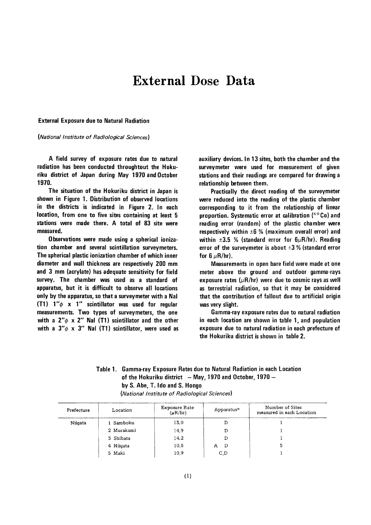### **External Dose Data**

**External Exposure due to Natural Radiation** 

(National Institute of Radiological Sciences)

A field survey of exposure rates due to natural radiation has been conducted throughtout the Hokuriku district of Japan during May 1970 and October 1970.

The situation of the Hokuriku district in Japan is shown in Figure 1. Distribution of observed locations in the districts is indicated in Figure 2. In each location, from one to five sites containing at least 5 stations were made there. A total of 83 site were measured.

Observations were made using a spherical ionization chamber and several scintillation surveymeters. The spherical plastic ionization chamber of which inner diameter and wall thickness are respectively 200 mm and 3 mm (acrylate) has adequate sensitivity for field survey. The chamber was used as a standard of apparatus, but it is difficult to observe all locations only by the apparatus, so that a surveymeter with a Nal (T1)  $1''\phi$  x 1" scintillator was used for regular measurements. Two types of surveymeters, the one with a  $2''\phi \times 2''$  Nal (T1) scintillator and the other with a  $3''\phi \times 3''$  Nal (T1) scintillator, were used as

auxiliary devices. In 13 sites, both the chamber and the surveymeter were used for measurement of given stations and their readings are compared for drawing a relationship between them.

Practically the direct reading of the surveymeter were reduced into the reading of the plastic chamber corresponding to it from the relationship of linear proportion. Systematic error at calibration  $(60 Co)$  and reading error (random) of the plastic chamber were respectively within  $\pm 6$  % (maximum overall error) and within  $\pm 3.5$  % (standard error for  $6\mu$ R/hr). Reading error of the surveymeter is about  $\pm 3$  % (standard error for 6  $\mu$ R/hr).

Measurements in open bare field were made at one meter above the ground and outdoor gamma-rays exposure rates  $(\mu R/hr)$  were due to cosmic rays as well as terrestrial radiation, so that it may be considered that the contribution of fallout due to artificial origin was very slight.

Gamma-ray exposure rates due to natural radiation in each location are shown in table 1, and population exposure due to natural radiation in each prefecture of the Hokuriku district is shown in table 2.

#### Table 1. Gamma-ray Exposure Rates due to Natural Radiation in each Location of the Hokuriku district  $-$  May, 1970 and October, 1970  $$ by S. Abe, T. Ido and S. Hongo

| Prefecture | Location   | Exposure Rate<br>$(\mu R/hr)$ | Apparatus* | Number of Sites<br>measured in each Location |
|------------|------------|-------------------------------|------------|----------------------------------------------|
| Niigata    | 1 Samboku  | 13.0                          |            |                                              |
|            | 2 Murakami | 14.9                          |            |                                              |
|            | 3 Shibata  | 14.2                          |            |                                              |
|            | 4 Niigata  | 10.8                          | D<br>A     | 5                                            |
|            | 5 Maki     | 10.9                          | C, D       |                                              |

(National Institute of Radiological Sciences)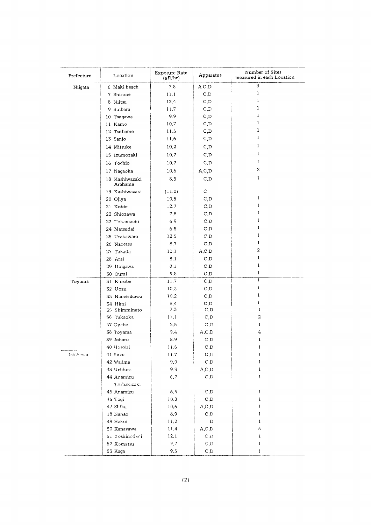| Prefecture | Location                  | Exposure Rate<br>$(\mu R/hr)$ | Apparatus    | Number of Sites<br>measured in each Location |
|------------|---------------------------|-------------------------------|--------------|----------------------------------------------|
| Niigata    | 6 Maki beach              | 7.8                           | A C, D       | 3                                            |
|            | 7 Shirone                 | 11.1                          | C, D         | ı                                            |
|            | 8 Niitsu                  | 12.4                          | C, D         | 1                                            |
|            | 9 Suibara                 | 11.7                          | C, D         | 1                                            |
|            | 10 Tsugawa                | 9.9                           | C, D         | 1                                            |
|            | 11 Kamo                   | 10.7                          | C, D         | 1                                            |
|            | 12 Tsubame                | 11.5                          | C, D         | ı                                            |
|            | 13 Sanjo                  | 11.6                          | C,D          | 1                                            |
|            | 14 Mitsuke                | 10.2                          | C, D         | 1                                            |
|            | 15 Izumozaki              | 10.7                          | C, D         | 1                                            |
|            | 16 Tochio                 | 10.7                          | C, D         | 1                                            |
|            | 17 Nagaoka                | 10.6                          | A, C, D      | 2                                            |
|            | 18 Kashiwazaki<br>Arahama | 8.5                           | C, D         | 1                                            |
|            | 19 Kashiwazaki            | (11.0)                        | $\mathbf C$  |                                              |
|            | 20 Ojiya                  | 10.5                          | C, D         | 1                                            |
|            | 21 Koide                  | 12.7                          | C, D         | ı                                            |
|            | 22 Shiozawa               | 7,8                           | C, D         | 1                                            |
|            | 23 Tokamachi              | 6.9                           | C, D         | 1                                            |
|            | 24 Matsudai               | 6.5                           | C, D         | 1                                            |
|            | 25 Urakawara              | 12.5                          | C, D         | 1                                            |
|            | 26 Naoetsu                | 8.7                           | C, D         | 1                                            |
|            | 27 Takada                 | 10.1                          | A, C, D      | 2                                            |
|            | 28 Arai                   | 8.1                           | C, D         | 1                                            |
|            | 29 Itoigawa               | 8.1                           | C, D         | 1                                            |
|            | 30 Oumi                   | 9,8                           | C, D         | Ŧ                                            |
| Toyama     | 31 Kurobe                 | 11.7                          | C, D         | $\mathbf{1}$                                 |
|            | 32 Uozu                   | 10.3                          | C, D         | ı                                            |
|            | 33 Namerikawa             | 10.2                          | C, D         | 1                                            |
|            | 34 Himi<br>35 Shimminato  | 3,4<br>$7.3\,$                | C, D<br>C, D | ì<br>$\bf{l}$                                |
|            | 36 Takaoka                | 11.1                          | C, D         | $\boldsymbol{2}$                             |
|            | 57 Oyabe                  | 3.5                           | C, D         | ı                                            |
|            | 38 Toyama                 | 9.4                           | A, C, D      | 4                                            |
|            | 39 Johana                 | 8.9                           | C, D         | $\mathbf{1}$                                 |
|            | 40 Hosoiri                | $\pm 1.6$                     | C, D         | ı                                            |
| Jshikawa   | 41 Suzu                   | 11.7                          | C, D         | ì.                                           |
|            | 42 Wajima                 | 9.0                           | C, D         | 1                                            |
|            | 43 Uchiura                | 9.3                           | A, C, D      | 1                                            |
|            | 44 Anamizu                | 6.7                           | C, D         | 1                                            |
|            | Tsubakizaki               |                               |              |                                              |
|            | 45 Anamizu                | 6.5                           | C, D         | $\mathbf{1}$                                 |
|            | 46 Togi                   | 10,8                          | C, D         | Ţ                                            |
|            | 47 Shika                  | 10.6                          | A, C, D      | 1                                            |
|            | 18 Nanao                  | 8.9                           | C, D         | 1                                            |
|            | 49 Hakui                  | 11.2                          | D            | 1                                            |
|            | 50 Kanazawa               | 11.4                          | A, C, D      | 5                                            |
|            | 51 Yoshinodani            | 12.1                          | C, D         | Ĵ.                                           |
|            | 52 Komatsu                | 9.7                           | C, D         | 1                                            |
|            | 53 Kaga                   | 9.5                           | C, D         | 1                                            |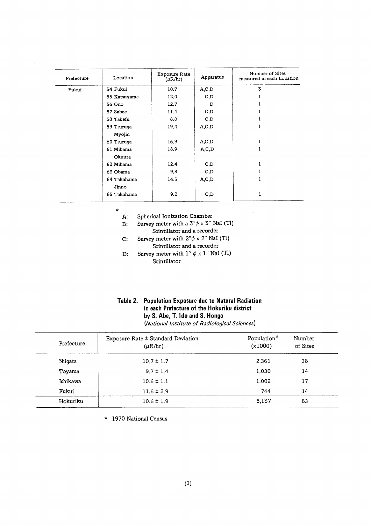| Prefecture | Location     | <b>Exposure Rate</b><br>$(\mu R/hr)$ | Apparatus | Number of Sites<br>measured in each Location |
|------------|--------------|--------------------------------------|-----------|----------------------------------------------|
| Fukui      | 54 Fukui     | 10,7                                 | A, C, D   | 3                                            |
|            | 55 Katsuyama | 12.0                                 | C,D       |                                              |
|            | 56 Ono       | 12.7                                 | D         |                                              |
|            | 57 Sabae     | 11.4                                 | C, D      |                                              |
|            | 58 Takefu    | 8.0                                  | C, D      |                                              |
|            | 59 Tsuruga   | 19.4                                 | A, C, D   | 1                                            |
|            | Myojin       |                                      |           |                                              |
|            | 60 Tsuruga   | 16.9                                 | A, C, D   | ı                                            |
|            | 61 Mihama    | 18.9                                 | A, C, D   | 1                                            |
|            | Okuura       |                                      |           |                                              |
|            | 62 Mihama    | 12.4                                 | C, D      | 1                                            |
|            | 63 Obama     | 9,8                                  | C, D      | 1                                            |
|            | 64 Takahama  | 14.5                                 | A, C, D   | 1                                            |
|            | Jinno        |                                      |           |                                              |
|            | 65 Takahama  | 9.2                                  | C, D      | 1                                            |

 $\star$ 

- Spherical Ionization Chamber A:
- Survey meter with a  $3''\phi \times 3''$  NaI (Tl)  $B$ :
	- Scintillator and a recorder
- Survey meter with  $2'' \phi \times 2''$  NaI (Tl)  $\mathbf{C}$  : Scintillator and a recorder
- Survey meter with  $1'' \phi \times 1''$  NaI (Tl)  $D:$ Scintillator

| Table 2. Population Exposure due to Natural Radiation |  |  |  |
|-------------------------------------------------------|--|--|--|
| in each Prefecture of the Hokuriku district           |  |  |  |
| by S. Abe, T. Ido and S. Hongo                        |  |  |  |
| (National Institute of Radiological Sciences)         |  |  |  |

| Prefecture | Exposure Rate ± Standard Deviation<br>$(\mu R/hr)$ | Population*<br>(x1000) | Number<br>of Sites |
|------------|----------------------------------------------------|------------------------|--------------------|
| Niigata    | $10.7 \pm 1.7$                                     | 2,361                  | 38                 |
| Toyama     | $9.7 \pm 1.4$                                      | 1,030                  | 14                 |
| Ishikawa   | $10.6 \pm 1.1$                                     | 1,002                  | 17                 |
| Fukui      | $11.6 \pm 2.9$                                     | 744                    | 14                 |
| Hokuriku   | $10.6 \pm 1.9$                                     | 5,137                  | 83                 |

\* 1970 National Census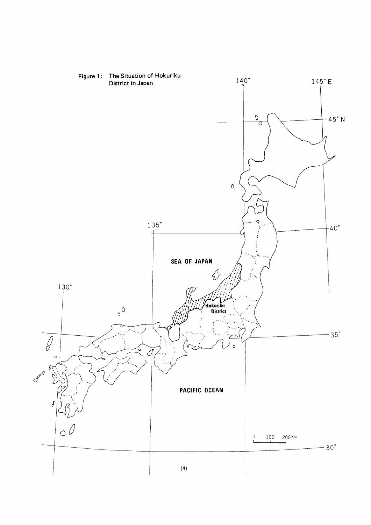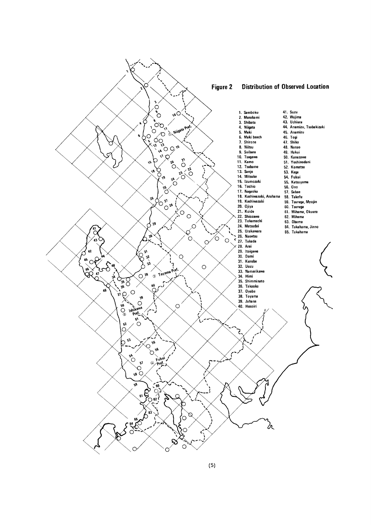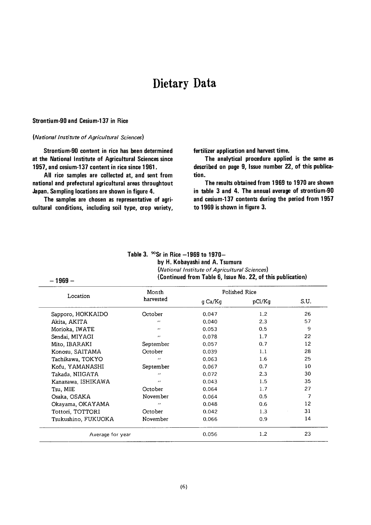### Dietary Data

#### **Strontium-90 and Cesium-137 in Rice**

 $-1969-$ 

#### (National Institute of Agricultural Sciences)

Strontium-90 content in rice has been determined at the National Institute of Agricultural Sciences since 1957, and cesium-137 content in rice since 1961.

All rice samples are collected at, and sent from national and prefectural agricultural areas throughtout Japan. Sampling locations are shown in figure 4.

The samples are chosen as representative of agricultural conditions, including soil type, crop variety, fertilizer application and harvest time.

The analytical procedure applied is the same as described on page 9, Issue number 22, of this publication.

The results obtained from 1969 to 1970 are shown in table 3 and 4. The annual average of strontium-90 and cesium-137 contents during the period from 1957 to 1969 is shown in figure 3.

| Table 3. $^{90}\mathrm{Sr}$ in Rice $-1969$ to 1970 $-$     |
|-------------------------------------------------------------|
| by H. Kobayashi and A. Tsumura                              |
| (National Institute of Agricultural Sciences)               |
| (Continued from Table 6, Issue No. 22, of this publication) |

Month Polished Rice Location harvested g Ca/Kg pCi/Kg S.U. Sapporo, HOKKAIDO 0.047  $1.2$ 26 October Akita, AKITA 0.040  $2.3$ 57  $^{\prime}$  $\ddot{\phantom{0}}$ Morioka, IWATE 0.053  $0.5$ 9 Sendai, MIYAGI  $\ddot{\phantom{0}}$ 0.078 1.7 22 Mito, IBARAKI 0.057  $0.7$  $12$ September 28 Konosu, SAITAMA October 0.039  $1.1$ Tachikawa, TOKYO 0.063 1.6 25  $\overline{1}$ Kofu, YAMANASHI September 0.067  $0.7$ 10  $30$ Takada, NIIGATA  $\bar{\alpha}$ 0.072  $2.3$  $\overline{a}$ 35 Kanazawa, ISHIKAWA 0.043 1.5 0.064  $1.7$ 27 Tsu, MIE October November 0.064  $0.5$  $\overline{7}$ Osaka, OSAKA  $12$ Okayama, OKAYAMA  $\overline{u}$ 0.048 0.6 Tottori, TOTTORI October 0.042 1.3 31 Tsukushino, FUKUOKA November 0.066  $0.9$ 14 0.056  $1.2$ 23 Average for year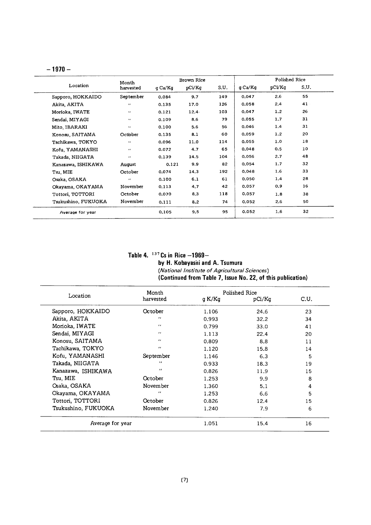#### $-1970-$

| pCi/Kq<br>9.7<br>17.0<br>12.4. | S.U.<br>149<br>126 | q Ca/Kq<br>0.047<br>0.058 | pCi/Kg<br>2.6 | S.U.<br>55 |
|--------------------------------|--------------------|---------------------------|---------------|------------|
|                                |                    |                           |               |            |
|                                |                    |                           |               |            |
|                                |                    |                           | 2.4           | 41         |
|                                | 103                | 0.047                     | 1.2           | 26         |
| 8.6                            | 79                 | 0.055                     | 1.7           | 31         |
| 5.6                            | 56                 | 0.046                     | 1.4           | 31         |
| 8.1                            | 60                 | 0.059                     | 1.2           | 20         |
| 11.0                           | 114                | 0.055                     | 1.0           | 18         |
| 4.7                            | 65                 | 0.048                     | 0.5           | 10         |
| 14.5                           | 104                | 0.056                     | 2.7           | 48         |
| 9.9                            | 82                 | 0.054                     | 1.7           | 32         |
| 14.3                           | 192                | 0.048                     | 1.6           | 33         |
| 6.1                            | 61                 | 0.050                     | 1.4           | 28         |
| 4.7                            | 42                 | 0.057                     | 0.9           | 16         |
| 8,3                            | 118                | 0.057                     | 1.8           | 38         |
| 8.2                            | 74                 | 0.052                     | 2.6           | 50         |
| 9.5                            | 95                 | 0.052                     | 1.6           | 32         |
|                                | 0.121              |                           |               |            |

#### Table 4.  $137$  Cs in Rice  $-196$ by H. Kobayashi and A. (National Institute of Agricultural Sciences) (Continued from Table 7, Issue No. 2

|                     | Month             |        | Polished Rice |      |
|---------------------|-------------------|--------|---------------|------|
| Location            | harvested         | g K/Kg | pCi/Kq        | C.U. |
| Sapporo, HOKKAIDO   | October           | 1.106  | 24.6          | 23   |
| Akita, AKITA        | $^{\prime\prime}$ | 0.993  | 32.2          | 34   |
| Morioka, IWATE      | $\bullet$         | 0.799  | 33.0          | 41   |
| Sendai, MIYAGI      | $^{\prime}$       | 1.113  | 22.4          | 20   |
| Konosu, SAITAMA     | $\bullet$         | 0.809  | 8.8           | 11   |
| Tachikawa, TOKYO    | $\cdots$          | 1.120  | 15.8          | 14   |
| Kofu, YAMANASHI     | September         | 1.146  | 6.3           | 5    |
| Takada, NIIGATA     | $\bullet$         | 0.933  | 18.3          | 19   |
| Kanazawa, ISHIKAWA  | $\mathbf{r}$      | 0.826  | 11.9          | 15   |
| Tsu, MIE            | October           | 1.253  | 9.9           | 8    |
| Osaka, OSAKA        | November          | 1.360  | 5.1           | 4    |
| Okayama, OKAYAMA    | $^{\prime}$       | 1.253  | 6.6           | 5    |
| Tottori, TOTTORI    | October           | 0.826  | 12.4          | 15   |
| Tsukushino, FUKUOKA | November          | 1.240  | 7.9           | 6    |
| Average for year    |                   | 1.051  | 15.4          | 16   |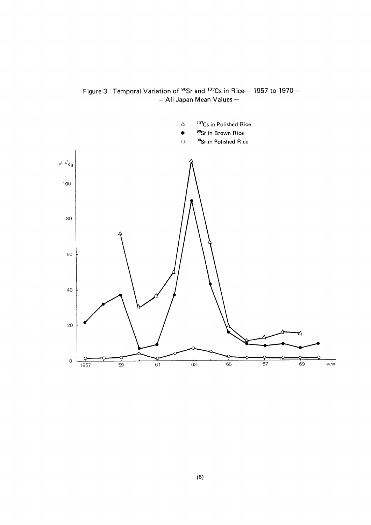

Figure 3 Temporal Variation of <sup>90</sup>Sr and <sup>137</sup>Cs in Rice-- 1957 to 1970 -- All Japan Mean Values-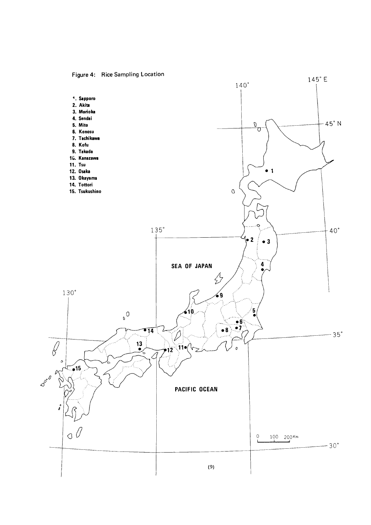Figure 4: Rice Sampling Location

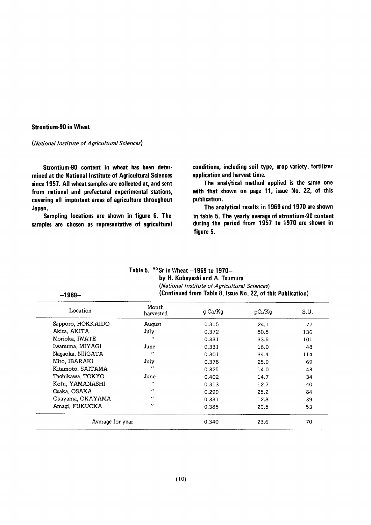#### **Strontium-90 in Wheat**

(National Institute of Agricultural Sciences)

Strontium-90 content in wheat has been determined at the National Institute of Agricultural Sciences since 1957. All wheat samples are collected at, and sent from national and prefectural experimental stations, covering all important areas of agriculture throughout Japan.

Sampling locations are shown in figure 6. The samples are chosen as representative of agricultural conditions, including soil type, crop variety, fertilizer application and harvest time.

The analytical method applied is the same one with that shown on page 11, issue No. 22, of this publication.

The analytical results in 1969 and 1970 are shown in table 5. The yearly average of atrontium-90 content during the period from 1957 to 1970 are shown in figure 5.

| $-1969-$          |                    | (National Institute of Agricultural Sciences)<br>(Continued from Table 8, Issue No. 22, of this Publication) |        |      |
|-------------------|--------------------|--------------------------------------------------------------------------------------------------------------|--------|------|
| Location          | Month<br>harvested | g Ca/Kg                                                                                                      | pCi/Kg | S.U. |
| Sapporo, HOKKAIDO | August             | 0.315                                                                                                        | 24.1   | 77   |
| Akita, AKITA      | July               | 0.372                                                                                                        | 50.5   | 136  |
| Morioka, IWATE    | $\bullet$          | 0.331                                                                                                        | 33.5   | 101  |
| Iwamuma, MIYAGI   | June               | 0.331                                                                                                        | 16.0   | 48   |
| Nagaoka, NIIGATA  | $\bullet$          | 0.301                                                                                                        | 34.4   | 114  |
| Mito, IBARAKI     | July               | 0.378                                                                                                        | 25.9   | 69   |
| Kitamoto, SAITAMA | $\bullet$          | 0.325                                                                                                        | 14.0   | 43   |
| Tachikawa, TOKYO  | June               | 0.402                                                                                                        | 14.7   | 34   |
| Kofu, YAMANASHI   | $^{\prime}$        | 0.313                                                                                                        | 12.7   | 40   |
| Osaka, OSAKA      | $\bullet$          | 0.299                                                                                                        | 25.2   | 84   |
| Okayama, OKAYAMA  | $\cdots$           | 0.331                                                                                                        | 12.8   | 39   |
| Amagi, FUKUOKA    | $^{\prime\prime}$  | 0.385                                                                                                        | 20.5   | 53   |
| Average for year  |                    | 0.340                                                                                                        | 23.6   | 70   |

| Table 5. $90$ Sr in Wheat $-1969$ to 1970-                  |
|-------------------------------------------------------------|
| by H. Kobayashi and A. Tsumura                              |
| (National Institute of Agricultural Sciences)               |
| (Continued from Table 8, Jesue No. 22, of this Publication) |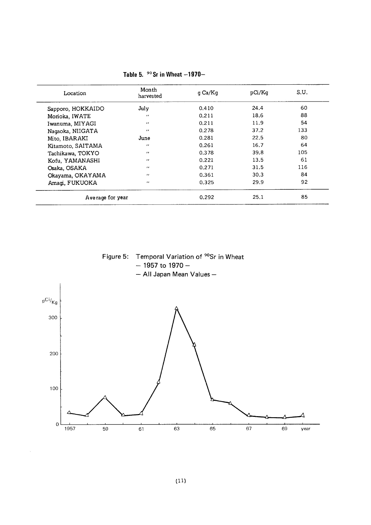| Location          | Month<br>harvested | q Ca/Kg | pCi/Kq | S.U. |
|-------------------|--------------------|---------|--------|------|
| Sapporo, HOKKAIDO | July               | 0.410   | 24.4   | 60   |
| Morioka, IWATE    | $\cdot$            | 0.211   | 18.6   | 88   |
| Iwanuma, MIYAGI   | $^{\prime}$        | 0.211   | 11.9   | 54   |
| Nagaoka, NIIGATA  | $\bullet$          | 0.278   | 37.2   | 133  |
| Mito, IBARAKI     | June               | 0.281   | 22.5   | 80   |
| Kitamoto, SAITAMA | $\cdot$            | 0.261   | 16.7   | 64   |
| Tachikawa, TOKYO  | $^{\prime}$        | 0.378   | 39.8   | 105  |
| Kofu, YAMANASHI   | $^{\prime\prime}$  | 0.221   | 13.5   | 61   |
| Osaka, OSAKA      | $\cdot$            | 0.271   | 31.5   | 116  |
| Okayama, OKAYAMA  | $^{\prime}$        | 0.361   | 30.3   | 84   |
| Amagi, FUKUOKA    | $\cdot$            | 0.325   | 29.9   | 92   |
| Average for year  |                    | 0.292   | 25.1   | 85   |

|  |  | Table 5. $90$ Sr in Wheat $-1970-$ |
|--|--|------------------------------------|
|  |  |                                    |



 $\frac{1}{63}$ 

 $\frac{1}{65}$ 

 $rac{1}{67}$ 

 $\frac{1}{69}$ 

year

 $\frac{1}{59}$ 

 $\frac{1}{1957}$ 

 $\bar{z}$ 

 $\frac{1}{61}$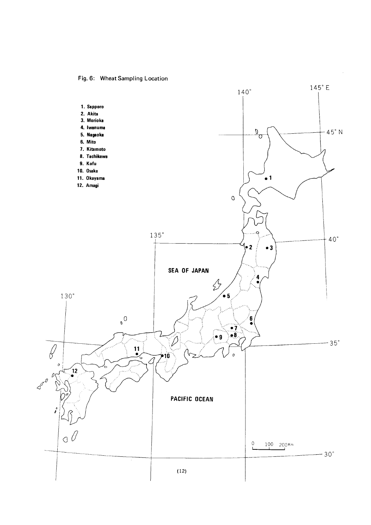Fig. 6: Wheat Sampling Location

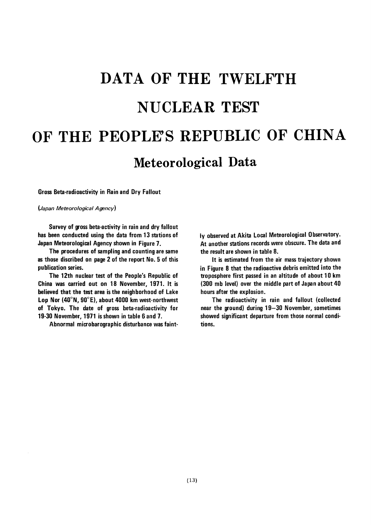# DATA OF THE TWELFTH **NUCLEAR TEST** OF THE PEOPLE'S REPUBLIC OF CHINA Meteorological Data

**Gross Beta-radioactivity in Rain and Dry Fallout** 

(Japan Meteorological Agency)

Survey of gross beta-activity in rain and dry fallout has been conducted using the data from 13 stations of Japan Meteorological Agency shown in Figure 7.

The procedures of sampling and counting are same as those discribed on page 2 of the report No. 5 of this publication series.

The 12th nuclear test of the People's Republic of China was carried out on 18 November, 1971. It is believed that the test area is the neighborhood of Lake Lop Nor (40°N, 90°E), about 4000 km west-northwest of Tokyo. The date of gross beta-radioactivity for 19-30 November, 1971 is shown in table 6 and 7.

Abnormal microbarographic disturbance was faint-

ly observed at Akita Local Meteorological Observatory. At another stations records were obscure. The data and the result are shown in table 8.

It is estimated from the air mass trajectory shown in Figure 8 that the radioactive debris emitted into the troposphere first passed in an altitude of about 10 km (300 mb level) over the middle part of Japan about 40 hours after the explosion.

The radioactivity in rain and fallout (collected near the ground) during 19-30 November, sometimes showed significant departure from those normal conditions.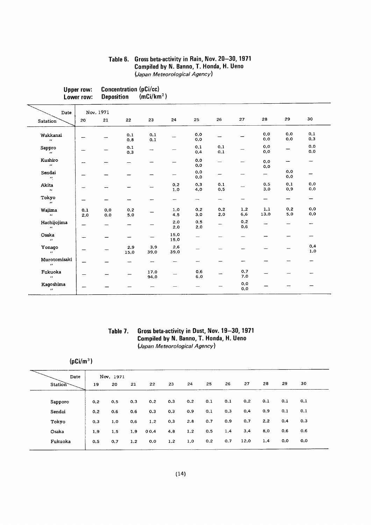#### Table 6. Gross beta-activity in Rain, Nov. 20-30, 1971 Compiled by N. Banno, T. Honda, H. Ueno (Japan Meteorological Agency)

| Upper row: | Concentration (pCi/cc) |                        |
|------------|------------------------|------------------------|
| Lower row: | <b>Deposition</b>      | (mCi/km <sup>2</sup> ) |

| Date                                      |            | Nov. 1971  |                          |              |                          |                          |                          |            |                          |                          |                              |
|-------------------------------------------|------------|------------|--------------------------|--------------|--------------------------|--------------------------|--------------------------|------------|--------------------------|--------------------------|------------------------------|
| <b>Satation</b>                           | 20         | 21         | 22                       | 23           | 24                       | 25                       | 26                       | 27         | 28                       | 29                       | 30                           |
| Wakkanai<br>$\mathcal{L}(\mathcal{E})$    | ---        |            | 0.1<br>0, 8              | 0,1<br>0.1   |                          | 0.0<br>0,0               | -                        |            | 0.0<br>0,0               | 0.0<br>0.0               | 0.1<br>0,3                   |
| Sappro<br>$\mathbf{z}$                    |            |            | 0.1<br>0,3               |              |                          | 0.1<br>0,4               | 0.1<br>0.1               |            | 0.0<br>0,0               | —                        | 0.0<br>0,0                   |
| Kushiro<br>$\mathbf{r}$                   |            |            | $\overline{\phantom{0}}$ |              |                          | 0,0<br>0.0               | $\overline{\phantom{0}}$ |            | 0.0<br>0.0               | $\overline{\phantom{0}}$ | $\overline{\phantom{a}}$     |
| Sendai<br>$\mathcal{F}_{\mathcal{A}}$     |            |            |                          |              |                          | 0.0<br>0.0               | —                        |            | $\overline{\phantom{0}}$ | 0.0<br>0.0               | -                            |
| Akita<br>$\mathbf{z}$                     |            |            |                          |              | 0.2<br>1.0               | 0.3<br>4.0               | 0.1<br>0.5               |            | 0.5<br>3.0               | 0.1<br>0.9               | 0,0<br>0,0                   |
| Tokyo<br>$\mathbf{r}$                     |            |            |                          |              | $\overline{\phantom{0}}$ | $\overline{\phantom{0}}$ | $\overline{\phantom{m}}$ | -          | -                        | —                        | $\qquad \qquad \blacksquare$ |
| Wajima<br>$\mathbf{r}_{\mathbf{r}}$       | 0.1<br>2.0 | 0,0<br>0.0 | 0.2<br>5.0               |              | 1.0<br>4.5               | 0.2<br>3.0               | 0,2<br>2,0               | 1.2<br>6.6 | 1.1<br>13.0              | 0.2<br>5.0               | 0.0<br>0,0                   |
| Hachijojima<br>$\mathcal{L}(\mathcal{C})$ |            |            | --                       |              | 2.0<br>2.0               | 0.5<br>2.0               |                          | 0.2<br>0,6 | —                        |                          | —                            |
| Osaka<br>$\boldsymbol{\mu}$               |            |            | --                       |              | 15.0<br>15.0             |                          |                          | -          |                          |                          | $\overline{\phantom{0}}$     |
| Yonago<br>$\mathbf{r}$                    |            |            | 2.9<br>15.0              | 3.9<br>39.0  | 2,6<br>39.0              | $\overline{\phantom{0}}$ |                          |            |                          |                          | 0.4<br>1.0                   |
| Murotomisaki<br>$\bullet\bullet$          |            |            | $\overline{\phantom{a}}$ | --           |                          |                          |                          |            |                          |                          |                              |
| Fukuoka<br>$\boldsymbol{\cdot}$           |            |            |                          | 17.0<br>94.0 |                          | 0.6<br>6.0               |                          | 0.7<br>7.0 |                          |                          |                              |
| Kagoshima<br>$\mathbf{r}$                 |            |            |                          |              |                          |                          |                          | 0.0<br>0,0 |                          |                          |                              |

#### Table 7. Gross beta-activity in Dust, Nov. 19-30, 1971 Compiled by N. Banno, T. Honda, H. Ueno (Japan Meteorological Agency)

| (pCi/m <sup>3</sup> ) |
|-----------------------|
|                       |
|                       |

| Date    |     | Nov. 1971 |     |      |     |     |     |     |      |     |     |     |
|---------|-----|-----------|-----|------|-----|-----|-----|-----|------|-----|-----|-----|
| Station | 19  | 20        | 21  | 22   | 23  | 24  | 25  | 26  | 27   | 28  | 29  | 30  |
| Sapporo | 0.2 | 0.5       | 0.3 | 0.2  | 0.3 | 0.2 | 0.1 | 0.1 | 0,2  | 0.1 | 0,1 | 0.1 |
| Sendai  | 0.2 | 0.6       | 0.6 | 0.3  | 0,3 | 0.9 | 0.1 | 0,3 | 0.4  | 0.9 | 0.1 | 0.1 |
| Tokyo   | 0.3 | 1.0       | 0.6 | 1.2  | 0.3 | 2.8 | 0.7 | 0.9 | 0.7  | 2,2 | 0.4 | 0.3 |
| Osaka   | 1.9 | 1.5       | 1.9 | 00,4 | 4.8 | 1.2 | 0,5 | 1.4 | 3.4  | 8.0 | 0,6 | 0.6 |
| Fukuoka | 0.5 | 0.7       | 1.2 | 0.0  | 1.2 | 1.0 | 0.2 | 0,7 | 12.0 | 1.4 | 0,0 | 0,0 |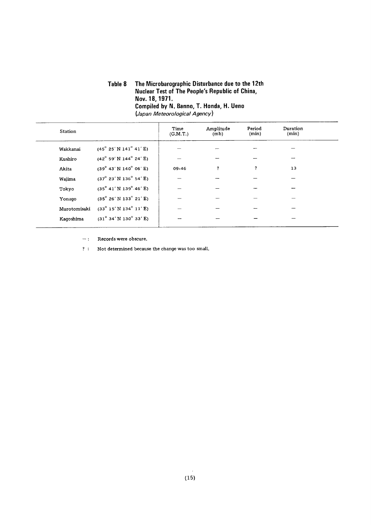#### Table 8 The Microbarographic Disturbance due to the 12th Nuclear Test of The People's Republic of China, Nov.18.1971. Compiled by N. Banno, T. Honda, H. Ueno (Japan Meteorological Agency)

| Station      |                                        | Time<br>(G.M.T.) | Amplitude<br>(mb) | Period<br>(min) | Duration<br>(min) |
|--------------|----------------------------------------|------------------|-------------------|-----------------|-------------------|
| Wakkanai     | $(45^{\circ} 25' N 141^{\circ} 41' E)$ |                  |                   |                 |                   |
| Kushiro      | $(42^{\circ} 59' N 144^{\circ} 24' E)$ |                  |                   |                 |                   |
| Akita        | $(39^{\circ} 43' N 140^{\circ} 06' E)$ | 09:46            | ?                 | ?               | 13                |
| Wajima       | $(37^{\circ} 23' N 136^{\circ} 54' E)$ |                  |                   |                 |                   |
| Tokyo        | $(35^{\circ} 41' N 139^{\circ} 46' E)$ |                  |                   |                 |                   |
| Yonago       | $(35^{\circ} 26' N 133^{\circ} 21' E)$ |                  |                   |                 |                   |
| Murotomisaki | $(33^{\circ} 15' N 134^{\circ} 11' E)$ |                  |                   |                 |                   |
| Kaqoshima    | $(31^{\circ} 34' N 130^{\circ} 33' E)$ |                  |                   |                 |                   |

Records were obscure.  $\rightarrow$  :  $\bar{\phantom{a}}$ 

? : Not determined because the change was too small.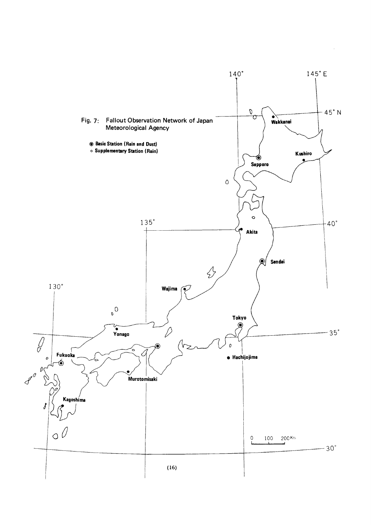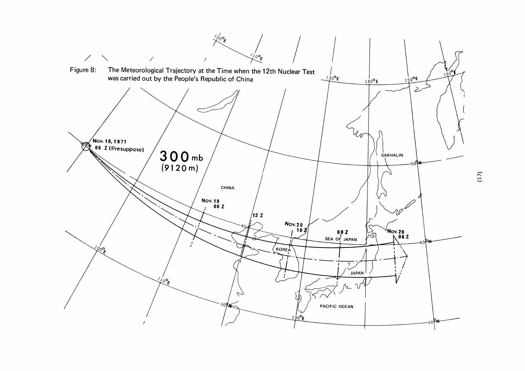

 $(17)$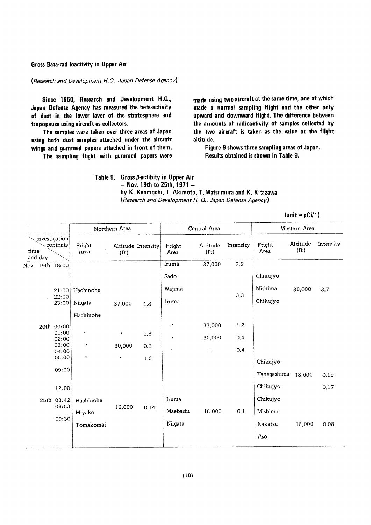#### Gross Bata-rad ioactivity in Upper Air

(Research and Development H.Q., Japan Defense Agency)

Since 1960, Research and Development H.Q., Japan Defense Agency has measured the beta-activity of dust in the lower laver of the stratosphere and tropopause using aircraft as collectors.

The samples were taken over three areas of Japan using both dust samples attached under the aircraft wings and gummed papers attached in front of them.

The sampling flight with gummed papers were

made using two aircraft at the same time, one of which made a normal sampling flight and the other only upward and downward flight. The difference between the amounts of radioactivity of samples collected by the two aircraft is taken as the value at the flight altitude.

Figure 9 shows three sampling areas of Japan. Results obtained is shown in Table 9.

Table 9. Gross  $\beta$ -actibity in Upper Air - Nov. 19th to 25th, 1971 by K. Kenmochi, T. Akimoto, T. Matsumura and K. Kitazawa (Research and Development H. Q., Japan Defense Agency)

|                                              |                |                          | Northern Area         |                    |                    | Central Area                  |           |                    | Western Area                  |           |
|----------------------------------------------|----------------|--------------------------|-----------------------|--------------------|--------------------|-------------------------------|-----------|--------------------|-------------------------------|-----------|
| investigation<br>contents<br>time<br>and day |                | Fright<br>Area<br>$\sim$ | (f <sub>t</sub> )     | Altitude Intensity | Fright<br>Area     | Altitude<br>(f <sub>t</sub> ) | Intensity | Fright<br>Area     | Altitude<br>(f <sub>t</sub> ) | Intensity |
| Nov. 19th $18:00$                            |                |                          |                       |                    | Iruma              | 37,000                        | 3.2       |                    |                               |           |
|                                              |                |                          |                       |                    | Sado               |                               |           | Chikujyo           |                               |           |
|                                              | 21:00<br>22:00 | Hachinohe                |                       |                    | Wajima             |                               | 3.3       | Mishima            | 30,000                        | 3.7       |
|                                              | 23:00          | Niigata                  | 37,000                | 1.8                | Iruma              |                               |           | Chikujyo           |                               |           |
|                                              |                | Hachinohe                |                       |                    |                    |                               |           |                    |                               |           |
|                                              | 20th 00:00     |                          |                       |                    | $\boldsymbol{\mu}$ | 37,000                        | 1.2       |                    |                               |           |
|                                              | 01:00<br>02:00 | $\boldsymbol{\epsilon}$  | $\boldsymbol{\alpha}$ | 1.8                | $\pmb{r}$ .        | 30,000                        | 0.4       |                    |                               |           |
|                                              | 03:00<br>04:00 | $\pmb{\cdot}$            | 30,000                | 0.6                | $\mathbf{r}$       | $\mathcal{F}(\mathcal{E})$    | 0.4       |                    |                               |           |
|                                              | 05:00          | $\boldsymbol{\mu}$       | $\epsilon$            | 1.0                |                    |                               |           | Chikujyo           |                               |           |
|                                              | 09:00          |                          |                       |                    |                    |                               |           | Tanegashima 18,000 |                               | 0.15      |
|                                              | 12:00          |                          |                       |                    |                    |                               |           | Chikujyo           |                               | 0.17      |
|                                              | 25th 08:42     | Hachinohe                |                       |                    | Iruma              |                               |           | Chikujyo           |                               |           |
|                                              | 08:53          | Miyako                   | 16,000                | 0.14               | Maebashi           | 16,000                        | 0.1       | Mishima            |                               |           |
|                                              | 09:30          |                          |                       |                    |                    |                               |           |                    |                               |           |
|                                              |                | Tomakomai                |                       |                    | Niigata            |                               |           | Nakatsu            | 16,000                        | 0.08      |
|                                              |                |                          |                       |                    |                    |                               |           | Aso                |                               |           |

 $(\text{unit} = pCi)^3)$